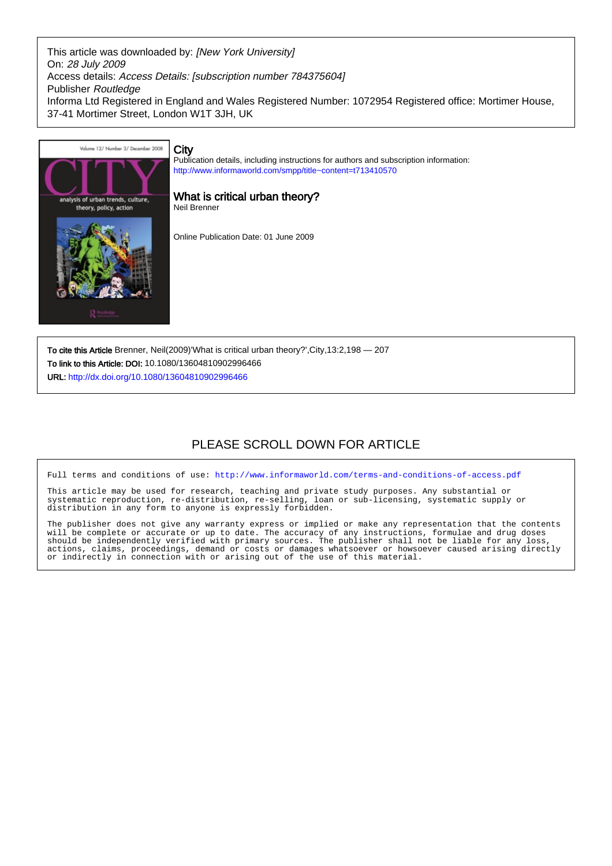This article was downloaded by: [New York University] On: 28 July 2009 Access details: Access Details: [subscription number 784375604] Publisher Routledge Informa Ltd Registered in England and Wales Registered Number: 1072954 Registered office: Mortimer House, 37-41 Mortimer Street, London W1T 3JH, UK



To cite this Article Brenner, Neil(2009)'What is critical urban theory?',City,13:2,198 — 207 To link to this Article: DOI: 10.1080/13604810902996466 URL: <http://dx.doi.org/10.1080/13604810902996466>

# PLEASE SCROLL DOWN FOR ARTICLE

Full terms and conditions of use:<http://www.informaworld.com/terms-and-conditions-of-access.pdf>

This article may be used for research, teaching and private study purposes. Any substantial or systematic reproduction, re-distribution, re-selling, loan or sub-licensing, systematic supply or distribution in any form to anyone is expressly forbidden.

The publisher does not give any warranty express or implied or make any representation that the contents will be complete or accurate or up to date. The accuracy of any instructions, formulae and drug doses should be independently verified with primary sources. The publisher shall not be liable for any loss, actions, claims, proceedings, demand or costs or damages whatsoever or howsoever caused arising directly or indirectly in connection with or arising out of the use of this material.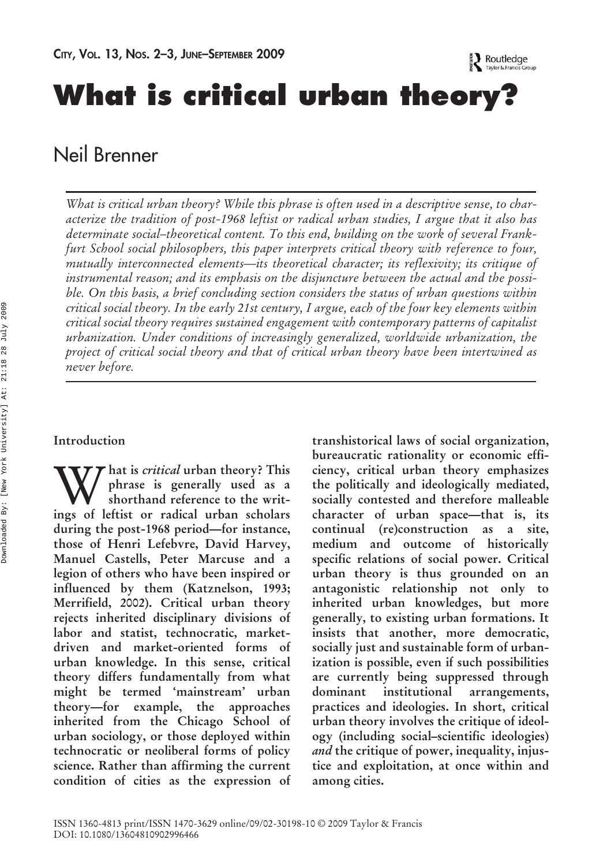# **What is critical urban theory?**

# Neil Brenner

*What is critical urban theory? While this phrase is often used in a descriptive sense, to characterize the tradition of post-1968 leftist or radical urban studies, I argue that it also has determinate social–theoretical content. To this end, building on the work of several Frankfurt School social philosophers, this paper interprets critical theory with reference to four, mutually interconnected elements—its theoretical character; its reflexivity; its critique of instrumental reason; and its emphasis on the disjuncture between the actual and the possible. On this basis, a brief concluding section considers the status of urban questions within critical social theory. In the early 21st century, I argue, each of the four key elements within critical social theory requires sustained engagement with contemporary patterns of capitalist urbanization. Under conditions of increasingly generalized, worldwide urbanization, the project of critical social theory and that of critical urban theory have been intertwined as never before.*

# **Introduction**

**hat is** *critical* **urban theory? This<br>
shorthand reference to the writ-<br>
ings of leftist or radical urban scholars phrase is generally used as a shorthand reference to the writings of leftist or radical urban scholars during the post-1968 period—for instance, those of Henri Lefebvre, David Harvey, Manuel Castells, Peter Marcuse and a legion of others who have been inspired or influenced by them (Katznelson, 1993; Merrifield, 2002). Critical urban theory rejects inherited disciplinary divisions of labor and statist, technocratic, marketdriven and market-oriented forms of urban knowledge. In this sense, critical theory differs fundamentally from what might be termed 'mainstream' urban theory—for example, the approaches inherited from the Chicago School of urban sociology, or those deployed within technocratic or neoliberal forms of policy science. Rather than affirming the current condition of cities as the expression of** **transhistorical laws of social organization, bureaucratic rationality or economic efficiency, critical urban theory emphasizes the politically and ideologically mediated, socially contested and therefore malleable character of urban space—that is, its continual (re)construction as a site, medium and outcome of historically specific relations of social power. Critical urban theory is thus grounded on an antagonistic relationship not only to inherited urban knowledges, but more generally, to existing urban formations. It insists that another, more democratic, socially just and sustainable form of urbanization is possible, even if such possibilities are currently being suppressed through dominant institutional arrangements, practices and ideologies. In short, critical urban theory involves the critique of ideology (including social–scientific ideologies)** *and* **the critique of power, inequality, injustice and exploitation, at once within and among cities.**

2009

 $28$  July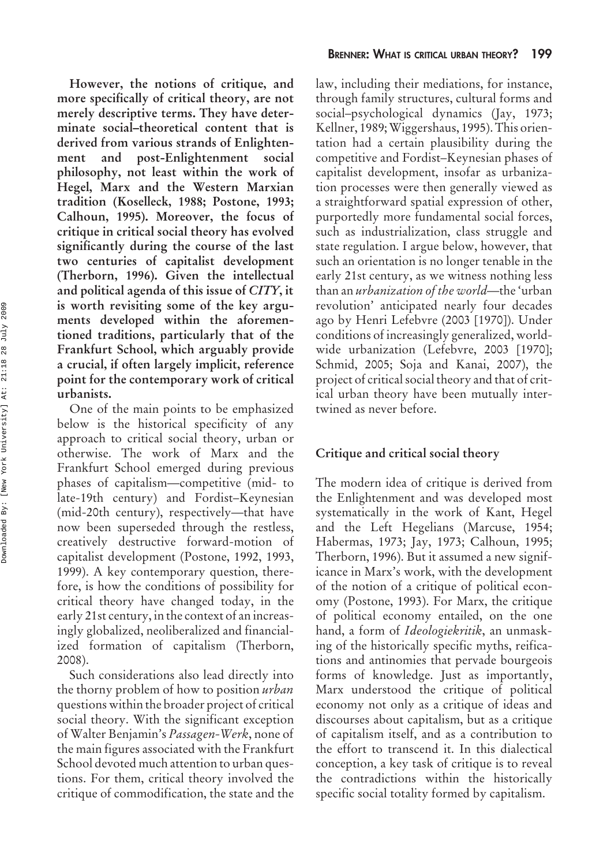**However, the notions of critique, and more specifically of critical theory, are not merely descriptive terms. They have determinate social–theoretical content that is derived from various strands of Enlightenment and post-Enlightenment social philosophy, not least within the work of Hegel, Marx and the Western Marxian tradition (Koselleck, 1988; Postone, 1993; Calhoun, 1995). Moreover, the focus of critique in critical social theory has evolved significantly during the course of the last two centuries of capitalist development (Therborn, 1996). Given the intellectual and political agenda of this issue of** *CITY***, it is worth revisiting some of the key arguments developed within the aforementioned traditions, particularly that of the Frankfurt School, which arguably provide a crucial, if often largely implicit, reference point for the contemporary work of critical urbanists.**

One of the main points to be emphasized below is the historical specificity of any approach to critical social theory, urban or otherwise. The work of Marx and the Frankfurt School emerged during previous phases of capitalism—competitive (mid- to late-19th century) and Fordist–Keynesian (mid-20th century), respectively—that have now been superseded through the restless, creatively destructive forward-motion of capitalist development (Postone, 1992, 1993, 1999). A key contemporary question, therefore, is how the conditions of possibility for critical theory have changed today, in the early 21st century, in the context of an increasingly globalized, neoliberalized and financialized formation of capitalism (Therborn, 2008).

Such considerations also lead directly into the thorny problem of how to position *urban* questions within the broader project of critical social theory. With the significant exception of Walter Benjamin's *Passagen-Werk*, none of the main figures associated with the Frankfurt School devoted much attention to urban questions. For them, critical theory involved the critique of commodification, the state and the law, including their mediations, for instance, through family structures, cultural forms and social–psychological dynamics (Jay, 1973; Kellner, 1989; Wiggershaus, 1995). This orientation had a certain plausibility during the competitive and Fordist–Keynesian phases of capitalist development, insofar as urbanization processes were then generally viewed as a straightforward spatial expression of other, purportedly more fundamental social forces, such as industrialization, class struggle and state regulation. I argue below, however, that such an orientation is no longer tenable in the early 21st century, as we witness nothing less than an *urbanization of the world*—the 'urban revolution' anticipated nearly four decades ago by Henri Lefebvre (2003 [1970]). Under conditions of increasingly generalized, worldwide urbanization (Lefebvre, 2003 [1970]; Schmid, 2005; Soja and Kanai, 2007), the project of critical social theory and that of critical urban theory have been mutually intertwined as never before.

# **Critique and critical social theory**

The modern idea of critique is derived from the Enlightenment and was developed most systematically in the work of Kant, Hegel and the Left Hegelians (Marcuse, 1954; Habermas, 1973; Jay, 1973; Calhoun, 1995; Therborn, 1996). But it assumed a new significance in Marx's work, with the development of the notion of a critique of political economy (Postone, 1993). For Marx, the critique of political economy entailed, on the one hand, a form of *Ideologiekritik*, an unmasking of the historically specific myths, reifications and antinomies that pervade bourgeois forms of knowledge. Just as importantly, Marx understood the critique of political economy not only as a critique of ideas and discourses about capitalism, but as a critique of capitalism itself, and as a contribution to the effort to transcend it. In this dialectical conception, a key task of critique is to reveal the contradictions within the historically specific social totality formed by capitalism.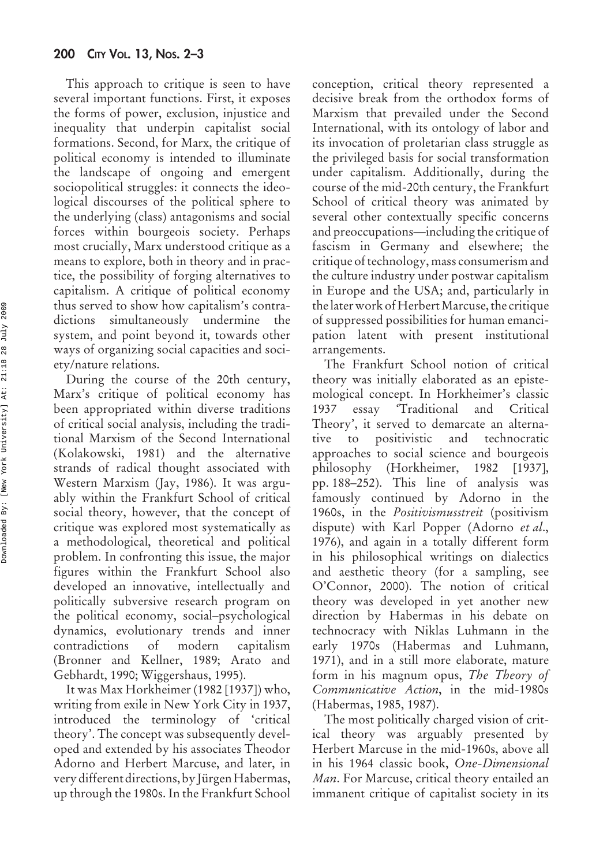This approach to critique is seen to have several important functions. First, it exposes the forms of power, exclusion, injustice and inequality that underpin capitalist social formations. Second, for Marx, the critique of political economy is intended to illuminate the landscape of ongoing and emergent sociopolitical struggles: it connects the ideological discourses of the political sphere to the underlying (class) antagonisms and social forces within bourgeois society. Perhaps most crucially, Marx understood critique as a means to explore, both in theory and in practice, the possibility of forging alternatives to capitalism. A critique of political economy thus served to show how capitalism's contradictions simultaneously undermine the system, and point beyond it, towards other ways of organizing social capacities and society/nature relations.

During the course of the 20th century, Marx's critique of political economy has been appropriated within diverse traditions of critical social analysis, including the traditional Marxism of the Second International (Kolakowski, 1981) and the alternative strands of radical thought associated with Western Marxism (Jay, 1986). It was arguably within the Frankfurt School of critical social theory, however, that the concept of critique was explored most systematically as a methodological, theoretical and political problem. In confronting this issue, the major figures within the Frankfurt School also developed an innovative, intellectually and politically subversive research program on the political economy, social–psychological dynamics, evolutionary trends and inner contradictions of modern capitalism (Bronner and Kellner, 1989; Arato and Gebhardt, 1990; Wiggershaus, 1995).

It was Max Horkheimer (1982 [1937]) who, writing from exile in New York City in 1937, introduced the terminology of 'critical theory'. The concept was subsequently developed and extended by his associates Theodor Adorno and Herbert Marcuse, and later, in very different directions, by Jürgen Habermas, up through the 1980s. In the Frankfurt School conception, critical theory represented a decisive break from the orthodox forms of Marxism that prevailed under the Second International, with its ontology of labor and its invocation of proletarian class struggle as the privileged basis for social transformation under capitalism. Additionally, during the course of the mid-20th century, the Frankfurt School of critical theory was animated by several other contextually specific concerns and preoccupations—including the critique of fascism in Germany and elsewhere; the critique of technology, mass consumerism and the culture industry under postwar capitalism in Europe and the USA; and, particularly in the later work of Herbert Marcuse, the critique of suppressed possibilities for human emancipation latent with present institutional arrangements.

The Frankfurt School notion of critical theory was initially elaborated as an epistemological concept. In Horkheimer's classic 1937 essay 'Traditional and Critical Theory', it served to demarcate an alternative to positivistic and technocratic approaches to social science and bourgeois philosophy (Horkheimer, 1982 [1937], pp. 188–252). This line of analysis was famously continued by Adorno in the 1960s, in the *Positivismusstreit* (positivism dispute) with Karl Popper (Adorno *et al*., 1976), and again in a totally different form in his philosophical writings on dialectics and aesthetic theory (for a sampling, see O'Connor, 2000). The notion of critical theory was developed in yet another new direction by Habermas in his debate on technocracy with Niklas Luhmann in the early 1970s (Habermas and Luhmann, 1971), and in a still more elaborate, mature form in his magnum opus, *The Theory of Communicative Action*, in the mid-1980s (Habermas, 1985, 1987).

The most politically charged vision of critical theory was arguably presented by Herbert Marcuse in the mid-1960s, above all in his 1964 classic book, *One-Dimensional Man*. For Marcuse, critical theory entailed an immanent critique of capitalist society in its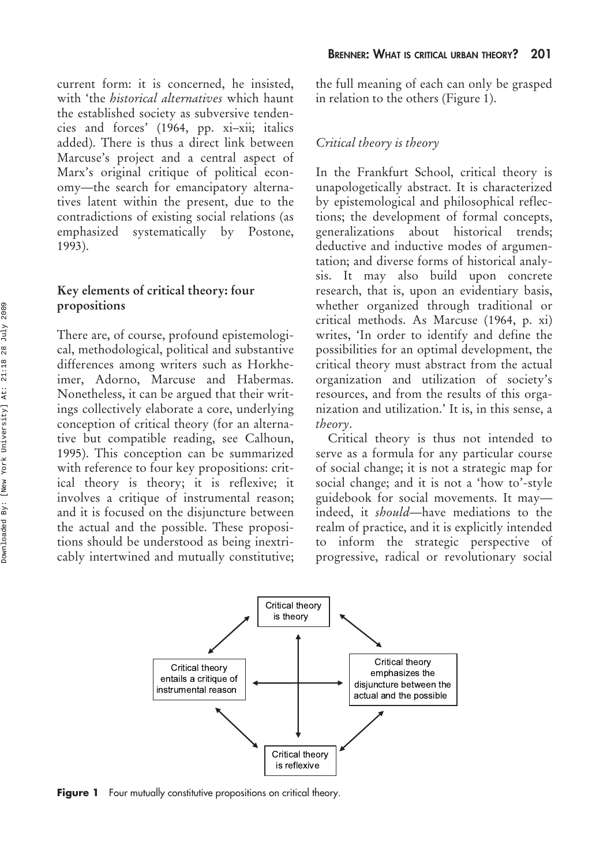current form: it is concerned, he insisted, with 'the *historical alternatives* which haunt the established society as subversive tendencies and forces' (1964, pp. xi–xii; italics added). There is thus a direct link between Marcuse's project and a central aspect of Marx's original critique of political economy—the search for emancipatory alternatives latent within the present, due to the contradictions of existing social relations (as emphasized systematically by Postone, 1993).

#### **Key elements of critical theory: four propositions**

There are, of course, profound epistemological, methodological, political and substantive differences among writers such as Horkheimer, Adorno, Marcuse and Habermas. Nonetheless, it can be argued that their writings collectively elaborate a core, underlying conception of critical theory (for an alternative but compatible reading, see Calhoun, 1995). This conception can be summarized with reference to four key propositions: critical theory is theory; it is reflexive; it involves a critique of instrumental reason; and it is focused on the disjuncture between the actual and the possible. These propositions should be understood as being inextricably intertwined and mutually constitutive;

the full meaning of each can only be grasped in relation to the others (Figure 1).

#### *Critical theory is theory*

In the Frankfurt School, critical theory is unapologetically abstract. It is characterized by epistemological and philosophical reflections; the development of formal concepts, generalizations about historical trends; deductive and inductive modes of argumentation; and diverse forms of historical analysis. It may also build upon concrete research, that is, upon an evidentiary basis, whether organized through traditional or critical methods. As Marcuse (1964, p. xi) writes, 'In order to identify and define the possibilities for an optimal development, the critical theory must abstract from the actual organization and utilization of society's resources, and from the results of this organization and utilization.' It is, in this sense, a *theory*.

Critical theory is thus not intended to serve as a formula for any particular course of social change; it is not a strategic map for social change; and it is not a 'how to'-style guidebook for social movements. It may indeed, it *should*—have mediations to the realm of practice, and it is explicitly intended to inform the strategic perspective of progressive, radical or revolutionary social



**Figure 1** Four mutually constitutive propositions on critical theory.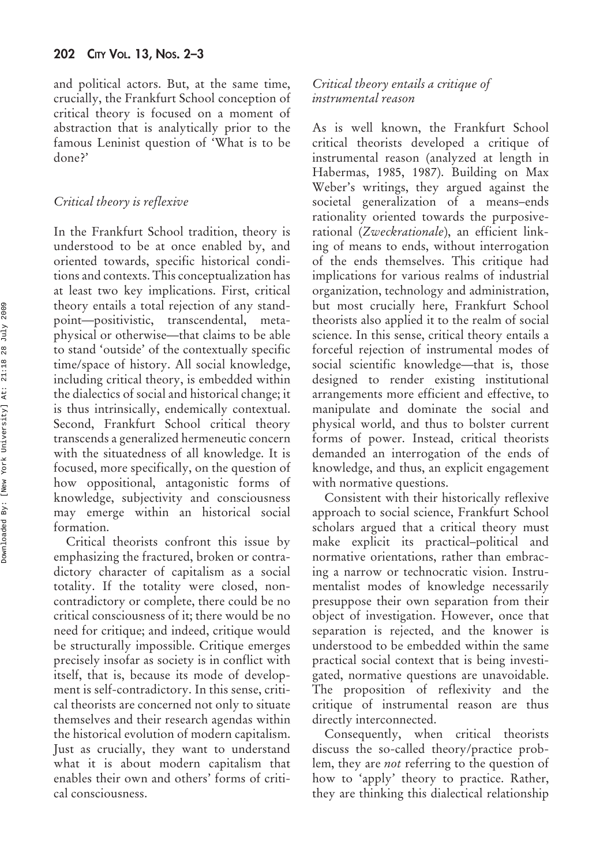and political actors. But, at the same time, crucially, the Frankfurt School conception of critical theory is focused on a moment of abstraction that is analytically prior to the famous Leninist question of 'What is to be done?'

# *Critical theory is reflexive*

In the Frankfurt School tradition, theory is understood to be at once enabled by, and oriented towards, specific historical conditions and contexts. This conceptualization has at least two key implications. First, critical theory entails a total rejection of any standpoint—positivistic, transcendental, metaphysical or otherwise—that claims to be able to stand 'outside' of the contextually specific time/space of history. All social knowledge, including critical theory, is embedded within the dialectics of social and historical change; it is thus intrinsically, endemically contextual. Second, Frankfurt School critical theory transcends a generalized hermeneutic concern with the situatedness of all knowledge. It is focused, more specifically, on the question of how oppositional, antagonistic forms of knowledge, subjectivity and consciousness may emerge within an historical social formation.

Critical theorists confront this issue by emphasizing the fractured, broken or contradictory character of capitalism as a social totality. If the totality were closed, noncontradictory or complete, there could be no critical consciousness of it; there would be no need for critique; and indeed, critique would be structurally impossible. Critique emerges precisely insofar as society is in conflict with itself, that is, because its mode of development is self-contradictory. In this sense, critical theorists are concerned not only to situate themselves and their research agendas within the historical evolution of modern capitalism. Just as crucially, they want to understand what it is about modern capitalism that enables their own and others' forms of critical consciousness.

# *Critical theory entails a critique of instrumental reason*

As is well known, the Frankfurt School critical theorists developed a critique of instrumental reason (analyzed at length in Habermas, 1985, 1987). Building on Max Weber's writings, they argued against the societal generalization of a means–ends rationality oriented towards the purposiverational (*Zweckrationale*), an efficient linking of means to ends, without interrogation of the ends themselves. This critique had implications for various realms of industrial organization, technology and administration, but most crucially here, Frankfurt School theorists also applied it to the realm of social science. In this sense, critical theory entails a forceful rejection of instrumental modes of social scientific knowledge—that is, those designed to render existing institutional arrangements more efficient and effective, to manipulate and dominate the social and physical world, and thus to bolster current forms of power. Instead, critical theorists demanded an interrogation of the ends of knowledge, and thus, an explicit engagement with normative questions.

Consistent with their historically reflexive approach to social science, Frankfurt School scholars argued that a critical theory must make explicit its practical–political and normative orientations, rather than embracing a narrow or technocratic vision. Instrumentalist modes of knowledge necessarily presuppose their own separation from their object of investigation. However, once that separation is rejected, and the knower is understood to be embedded within the same practical social context that is being investigated, normative questions are unavoidable. The proposition of reflexivity and the critique of instrumental reason are thus directly interconnected.

Consequently, when critical theorists discuss the so-called theory/practice problem, they are *not* referring to the question of how to 'apply' theory to practice. Rather, they are thinking this dialectical relationship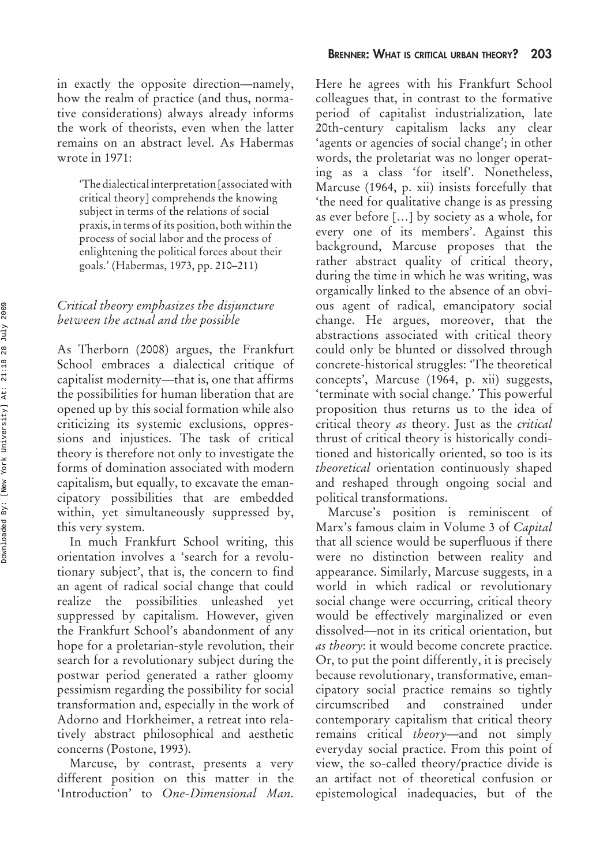in exactly the opposite direction—namely, how the realm of practice (and thus, normative considerations) always already informs the work of theorists, even when the latter remains on an abstract level. As Habermas wrote in 1971:

'The dialectical interpretation [associated with critical theory] comprehends the knowing subject in terms of the relations of social praxis, in terms of its position, both within the process of social labor and the process of enlightening the political forces about their goals.' (Habermas, 1973, pp. 210–211)

#### *Critical theory emphasizes the disjuncture between the actual and the possible*

As Therborn (2008) argues, the Frankfurt School embraces a dialectical critique of capitalist modernity—that is, one that affirms the possibilities for human liberation that are opened up by this social formation while also criticizing its systemic exclusions, oppressions and injustices. The task of critical theory is therefore not only to investigate the forms of domination associated with modern capitalism, but equally, to excavate the emancipatory possibilities that are embedded within, yet simultaneously suppressed by, this very system.

In much Frankfurt School writing, this orientation involves a 'search for a revolutionary subject', that is, the concern to find an agent of radical social change that could realize the possibilities unleashed yet suppressed by capitalism. However, given the Frankfurt School's abandonment of any hope for a proletarian-style revolution, their search for a revolutionary subject during the postwar period generated a rather gloomy pessimism regarding the possibility for social transformation and, especially in the work of Adorno and Horkheimer, a retreat into relatively abstract philosophical and aesthetic concerns (Postone, 1993).

Marcuse, by contrast, presents a very different position on this matter in the 'Introduction' to *One-Dimensional Man*.

Here he agrees with his Frankfurt School colleagues that, in contrast to the formative period of capitalist industrialization, late 20th-century capitalism lacks any clear 'agents or agencies of social change'; in other words, the proletariat was no longer operating as a class 'for itself'. Nonetheless, Marcuse (1964, p. xii) insists forcefully that 'the need for qualitative change is as pressing as ever before […] by society as a whole, for every one of its members'. Against this background, Marcuse proposes that the rather abstract quality of critical theory, during the time in which he was writing, was organically linked to the absence of an obvious agent of radical, emancipatory social change. He argues, moreover, that the abstractions associated with critical theory could only be blunted or dissolved through concrete-historical struggles: 'The theoretical concepts', Marcuse (1964, p. xii) suggests, 'terminate with social change.' This powerful proposition thus returns us to the idea of critical theory *as* theory. Just as the *critical* thrust of critical theory is historically conditioned and historically oriented, so too is its *theoretical* orientation continuously shaped and reshaped through ongoing social and political transformations.

Marcuse's position is reminiscent of Marx's famous claim in Volume 3 of *Capital* that all science would be superfluous if there were no distinction between reality and appearance. Similarly, Marcuse suggests, in a world in which radical or revolutionary social change were occurring, critical theory would be effectively marginalized or even dissolved—not in its critical orientation, but *as theory*: it would become concrete practice. Or, to put the point differently, it is precisely because revolutionary, transformative, emancipatory social practice remains so tightly circumscribed and constrained under contemporary capitalism that critical theory remains critical *theory*—and not simply everyday social practice. From this point of view, the so-called theory/practice divide is an artifact not of theoretical confusion or epistemological inadequacies, but of the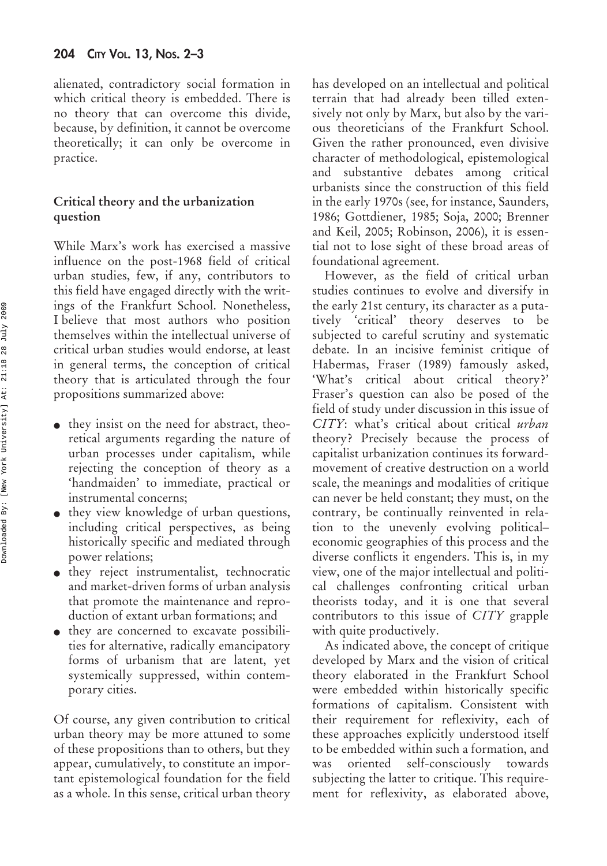alienated, contradictory social formation in which critical theory is embedded. There is no theory that can overcome this divide, because, by definition, it cannot be overcome theoretically; it can only be overcome in practice.

# **Critical theory and the urbanization question**

While Marx's work has exercised a massive influence on the post-1968 field of critical urban studies, few, if any, contributors to this field have engaged directly with the writings of the Frankfurt School. Nonetheless, I believe that most authors who position themselves within the intellectual universe of critical urban studies would endorse, at least in general terms, the conception of critical theory that is articulated through the four propositions summarized above:

- they insist on the need for abstract, theoretical arguments regarding the nature of urban processes under capitalism, while rejecting the conception of theory as a 'handmaiden' to immediate, practical or instrumental concerns;
- they view knowledge of urban questions, including critical perspectives, as being historically specific and mediated through power relations;
- they reject instrumentalist, technocratic and market-driven forms of urban analysis that promote the maintenance and reproduction of extant urban formations; and
- they are concerned to excavate possibilities for alternative, radically emancipatory forms of urbanism that are latent, yet systemically suppressed, within contemporary cities.

Of course, any given contribution to critical urban theory may be more attuned to some of these propositions than to others, but they appear, cumulatively, to constitute an important epistemological foundation for the field as a whole. In this sense, critical urban theory has developed on an intellectual and political terrain that had already been tilled extensively not only by Marx, but also by the various theoreticians of the Frankfurt School. Given the rather pronounced, even divisive character of methodological, epistemological and substantive debates among critical urbanists since the construction of this field in the early 1970s (see, for instance, Saunders, 1986; Gottdiener, 1985; Soja, 2000; Brenner and Keil, 2005; Robinson, 2006), it is essential not to lose sight of these broad areas of foundational agreement.

However, as the field of critical urban studies continues to evolve and diversify in the early 21st century, its character as a putatively 'critical' theory deserves to be subjected to careful scrutiny and systematic debate. In an incisive feminist critique of Habermas, Fraser (1989) famously asked, 'What's critical about critical theory?' Fraser's question can also be posed of the field of study under discussion in this issue of *CITY*: what's critical about critical *urban* theory? Precisely because the process of capitalist urbanization continues its forwardmovement of creative destruction on a world scale, the meanings and modalities of critique can never be held constant; they must, on the contrary, be continually reinvented in relation to the unevenly evolving political– economic geographies of this process and the diverse conflicts it engenders. This is, in my view, one of the major intellectual and political challenges confronting critical urban theorists today, and it is one that several contributors to this issue of *CITY* grapple with quite productively.

As indicated above, the concept of critique developed by Marx and the vision of critical theory elaborated in the Frankfurt School were embedded within historically specific formations of capitalism. Consistent with their requirement for reflexivity, each of these approaches explicitly understood itself to be embedded within such a formation, and was oriented self-consciously towards subjecting the latter to critique. This requirement for reflexivity, as elaborated above,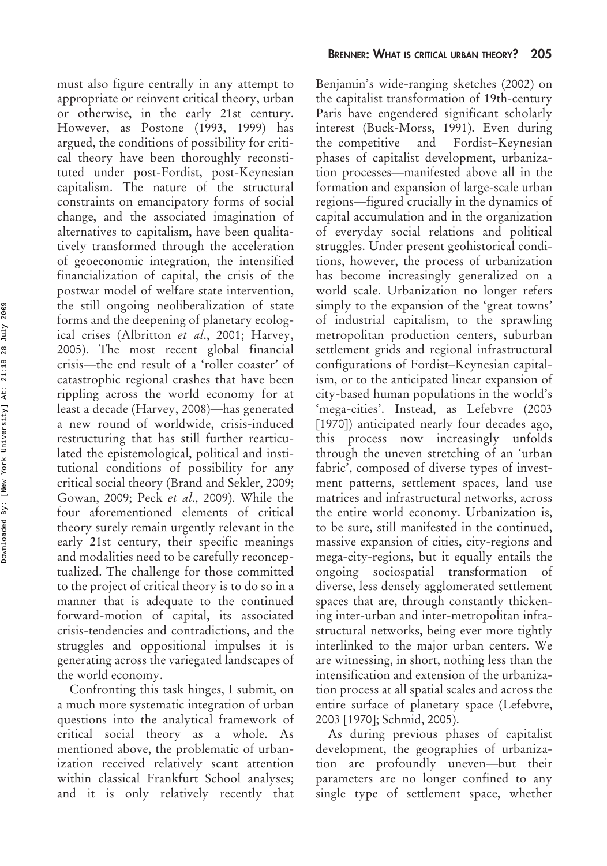must also figure centrally in any attempt to appropriate or reinvent critical theory, urban or otherwise, in the early 21st century. However, as Postone (1993, 1999) has argued, the conditions of possibility for critical theory have been thoroughly reconstituted under post-Fordist, post-Keynesian capitalism. The nature of the structural constraints on emancipatory forms of social change, and the associated imagination of alternatives to capitalism, have been qualitatively transformed through the acceleration of geoeconomic integration, the intensified financialization of capital, the crisis of the postwar model of welfare state intervention, the still ongoing neoliberalization of state forms and the deepening of planetary ecological crises (Albritton *et al*., 2001; Harvey, 2005). The most recent global financial crisis—the end result of a 'roller coaster' of catastrophic regional crashes that have been rippling across the world economy for at least a decade (Harvey, 2008)—has generated a new round of worldwide, crisis-induced restructuring that has still further rearticulated the epistemological, political and institutional conditions of possibility for any critical social theory (Brand and Sekler, 2009; Gowan, 2009; Peck *et al*., 2009). While the four aforementioned elements of critical theory surely remain urgently relevant in the early 21st century, their specific meanings and modalities need to be carefully reconceptualized. The challenge for those committed to the project of critical theory is to do so in a manner that is adequate to the continued forward-motion of capital, its associated crisis-tendencies and contradictions, and the struggles and oppositional impulses it is generating across the variegated landscapes of the world economy.

Confronting this task hinges, I submit, on a much more systematic integration of urban questions into the analytical framework of critical social theory as a whole. As mentioned above, the problematic of urbanization received relatively scant attention within classical Frankfurt School analyses; and it is only relatively recently that Benjamin's wide-ranging sketches (2002) on the capitalist transformation of 19th-century Paris have engendered significant scholarly interest (Buck-Morss, 1991). Even during the competitive and Fordist–Keynesian phases of capitalist development, urbanization processes—manifested above all in the formation and expansion of large-scale urban regions—figured crucially in the dynamics of capital accumulation and in the organization of everyday social relations and political struggles. Under present geohistorical conditions, however, the process of urbanization has become increasingly generalized on a world scale. Urbanization no longer refers simply to the expansion of the 'great towns' of industrial capitalism, to the sprawling metropolitan production centers, suburban settlement grids and regional infrastructural configurations of Fordist–Keynesian capitalism, or to the anticipated linear expansion of city-based human populations in the world's 'mega-cities'. Instead, as Lefebvre (2003 [1970]) anticipated nearly four decades ago, this process now increasingly unfolds through the uneven stretching of an 'urban fabric', composed of diverse types of investment patterns, settlement spaces, land use matrices and infrastructural networks, across the entire world economy. Urbanization is, to be sure, still manifested in the continued, massive expansion of cities, city-regions and mega-city-regions, but it equally entails the ongoing sociospatial transformation of diverse, less densely agglomerated settlement spaces that are, through constantly thickening inter-urban and inter-metropolitan infrastructural networks, being ever more tightly interlinked to the major urban centers. We are witnessing, in short, nothing less than the intensification and extension of the urbanization process at all spatial scales and across the entire surface of planetary space (Lefebvre, 2003 [1970]; Schmid, 2005).

As during previous phases of capitalist development, the geographies of urbanization are profoundly uneven—but their parameters are no longer confined to any single type of settlement space, whether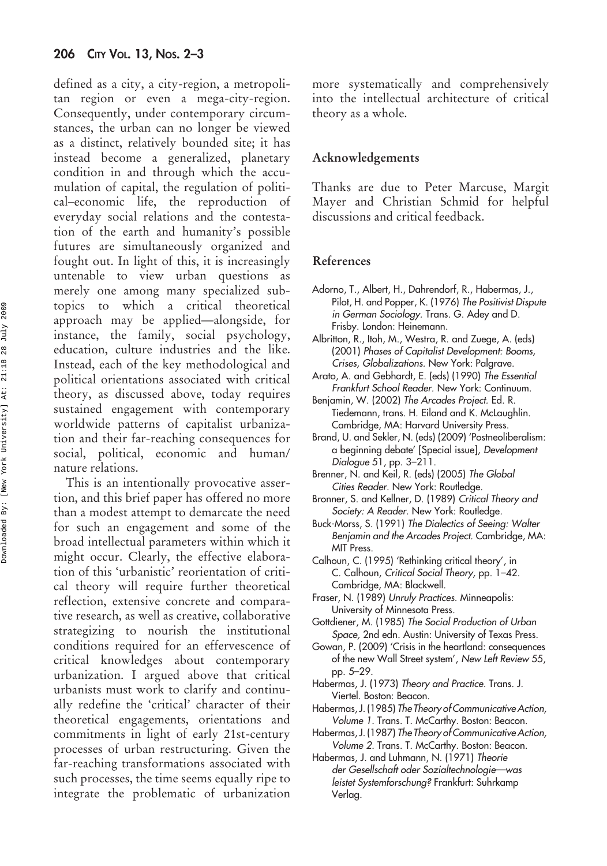defined as a city, a city-region, a metropolitan region or even a mega-city-region. Consequently, under contemporary circumstances, the urban can no longer be viewed as a distinct, relatively bounded site; it has instead become a generalized, planetary condition in and through which the accumulation of capital, the regulation of political–economic life, the reproduction of everyday social relations and the contestation of the earth and humanity's possible futures are simultaneously organized and fought out. In light of this, it is increasingly untenable to view urban questions as merely one among many specialized subtopics to which a critical theoretical approach may be applied—alongside, for instance, the family, social psychology, education, culture industries and the like. Instead, each of the key methodological and political orientations associated with critical theory, as discussed above, today requires sustained engagement with contemporary worldwide patterns of capitalist urbanization and their far-reaching consequences for social, political, economic and human/ nature relations.

This is an intentionally provocative assertion, and this brief paper has offered no more than a modest attempt to demarcate the need for such an engagement and some of the broad intellectual parameters within which it might occur. Clearly, the effective elaboration of this 'urbanistic' reorientation of critical theory will require further theoretical reflection, extensive concrete and comparative research, as well as creative, collaborative strategizing to nourish the institutional conditions required for an effervescence of critical knowledges about contemporary urbanization. I argued above that critical urbanists must work to clarify and continually redefine the 'critical' character of their theoretical engagements, orientations and commitments in light of early 21st-century processes of urban restructuring. Given the far-reaching transformations associated with such processes, the time seems equally ripe to integrate the problematic of urbanization more systematically and comprehensively into the intellectual architecture of critical theory as a whole.

#### **Acknowledgements**

Thanks are due to Peter Marcuse, Margit Mayer and Christian Schmid for helpful discussions and critical feedback.

#### **References**

- Adorno, T., Albert, H., Dahrendorf, R., Habermas, J., Pilot, H. and Popper, K. (1976) *The Positivist Dispute in German Sociology.* Trans. G. Adey and D. Frisby. London: Heinemann.
- Albritton, R., Itoh, M., Westra, R. and Zuege, A. (eds) (2001) *Phases of Capitalist Development: Booms, Crises, Globalizations.* New York: Palgrave.
- Arato, A. and Gebhardt, E. (eds) (1990) *The Essential Frankfurt School Reader.* New York: Continuum.
- Benjamin, W. (2002) *The Arcades Project.* Ed. R. Tiedemann, trans. H. Eiland and K. McLaughlin. Cambridge, MA: Harvard University Press.
- Brand, U. and Sekler, N. (eds) (2009) 'Postneoliberalism: a beginning debate' [Special issue], *Development Dialogue* 51, pp. 3–211.
- Brenner, N. and Keil, R. (eds) (2005) *The Global Cities Reader.* New York: Routledge.
- Bronner, S. and Kellner, D. (1989) *Critical Theory and Society: A Reader.* New York: Routledge.
- Buck-Morss, S. (1991) *The Dialectics of Seeing: Walter Benjamin and the Arcades Project.* Cambridge, MA: MIT Press.
- Calhoun, C. (1995) 'Rethinking critical theory', in C. Calhoun, *Critical Social Theory,* pp. 1–42. Cambridge, MA: Blackwell.
- Fraser, N. (1989) *Unruly Practices.* Minneapolis: University of Minnesota Press.
- Gottdiener, M. (1985) *The Social Production of Urban Space,* 2nd edn. Austin: University of Texas Press.
- Gowan, P. (2009) 'Crisis in the heartland: consequences of the new Wall Street system', *New Left Review* 55, pp. 5–29.
- Habermas, J. (1973) *Theory and Practice.* Trans. J. Viertel. Boston: Beacon.
- Habermas, J. (1985) *The Theory of Communicative Action, Volume 1.* Trans. T. McCarthy. Boston: Beacon.
- Habermas, J. (1987) *The Theory of Communicative Action, Volume 2.* Trans. T. McCarthy. Boston: Beacon.

Habermas, J. and Luhmann, N. (1971) *Theorie der Gesellschaft oder Sozialtechnologie—was leistet Systemforschung?* Frankfurt: Suhrkamp Verlag.